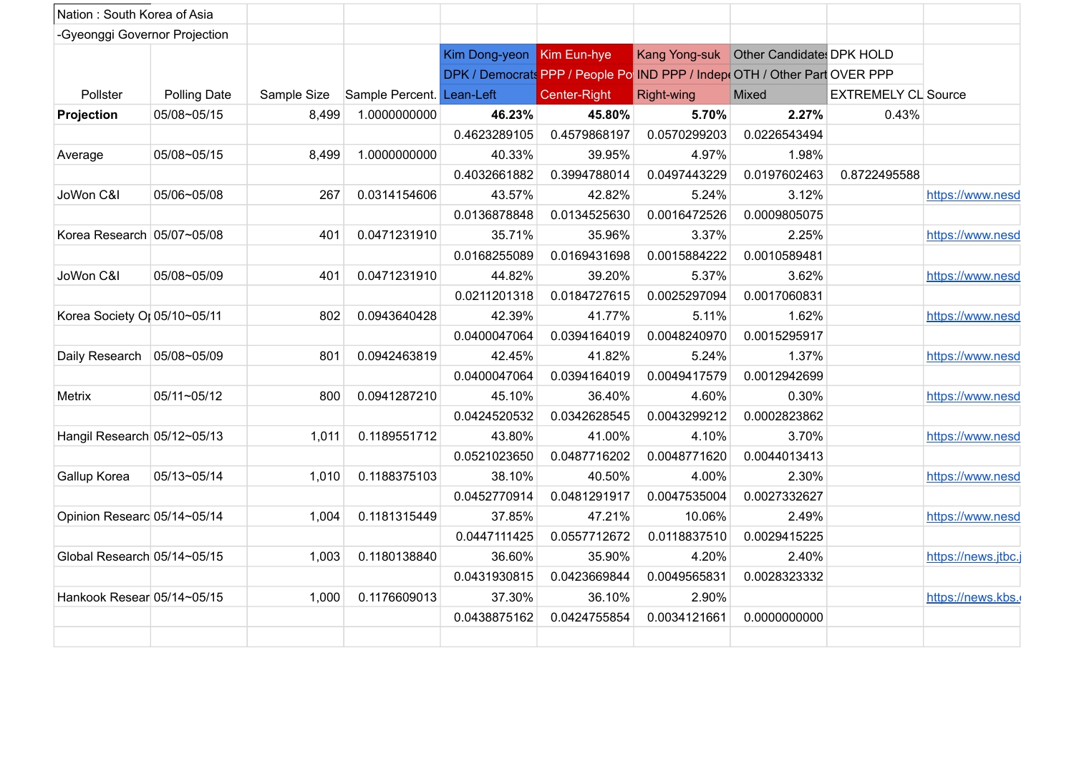| Nation: South Korea of Asia   |                     |             |                           |                           |              |                                                                            |              |                            |                     |
|-------------------------------|---------------------|-------------|---------------------------|---------------------------|--------------|----------------------------------------------------------------------------|--------------|----------------------------|---------------------|
| -Gyeonggi Governor Projection |                     |             |                           |                           |              |                                                                            |              |                            |                     |
|                               |                     |             |                           | Kim Dong-yeon Kim Eun-hye |              | Kang Yong-suk Other Candidate: DPK HOLD                                    |              |                            |                     |
|                               |                     |             |                           |                           |              | DPK / Democrats PPP / People Po IND PPP / Indept OTH / Other Part OVER PPP |              |                            |                     |
| Pollster                      | <b>Polling Date</b> | Sample Size | Sample Percent. Lean-Left |                           | Center-Right | Right-wing                                                                 | Mixed        | <b>EXTREMELY CL Source</b> |                     |
| Projection                    | 05/08~05/15         | 8,499       | 1.0000000000              | 46.23%                    | 45.80%       | 5.70%                                                                      | 2.27%        | 0.43%                      |                     |
|                               |                     |             |                           | 0.4623289105              | 0.4579868197 | 0.0570299203                                                               | 0.0226543494 |                            |                     |
| Average                       | 05/08~05/15         | 8,499       | 1.0000000000              | 40.33%                    | 39.95%       | 4.97%                                                                      | 1.98%        |                            |                     |
|                               |                     |             |                           | 0.4032661882              | 0.3994788014 | 0.0497443229                                                               | 0.0197602463 | 0.8722495588               |                     |
| JoWon C&I                     | 05/06~05/08         | 267         | 0.0314154606              | 43.57%                    | 42.82%       | 5.24%                                                                      | 3.12%        |                            | https://www.nesd    |
|                               |                     |             |                           | 0.0136878848              | 0.0134525630 | 0.0016472526                                                               | 0.0009805075 |                            |                     |
| Korea Research 05/07~05/08    |                     | 401         | 0.0471231910              | 35.71%                    | 35.96%       | 3.37%                                                                      | 2.25%        |                            | https://www.nesd    |
|                               |                     |             |                           | 0.0168255089              | 0.0169431698 | 0.0015884222                                                               | 0.0010589481 |                            |                     |
| JoWon C&I                     | 05/08~05/09         | 401         | 0.0471231910              | 44.82%                    | 39.20%       | 5.37%                                                                      | 3.62%        |                            | https://www.nesd    |
|                               |                     |             |                           | 0.0211201318              | 0.0184727615 | 0.0025297094                                                               | 0.0017060831 |                            |                     |
| Korea Society Or 05/10~05/11  |                     | 802         | 0.0943640428              | 42.39%                    | 41.77%       | 5.11%                                                                      | 1.62%        |                            | https://www.nesd    |
|                               |                     |             |                           | 0.0400047064              | 0.0394164019 | 0.0048240970                                                               | 0.0015295917 |                            |                     |
| Daily Research   05/08~05/09  |                     | 801         | 0.0942463819              | 42.45%                    | 41.82%       | 5.24%                                                                      | 1.37%        |                            | https://www.nesd    |
|                               |                     |             |                           | 0.0400047064              | 0.0394164019 | 0.0049417579                                                               | 0.0012942699 |                            |                     |
| Metrix                        | 05/11~05/12         | 800         | 0.0941287210              | 45.10%                    | 36.40%       | 4.60%                                                                      | 0.30%        |                            | https://www.nesd    |
|                               |                     |             |                           | 0.0424520532              | 0.0342628545 | 0.0043299212                                                               | 0.0002823862 |                            |                     |
| Hangil Research 05/12~05/13   |                     | 1,011       | 0.1189551712              | 43.80%                    | 41.00%       | 4.10%                                                                      | 3.70%        |                            | https://www.nesd    |
|                               |                     |             |                           | 0.0521023650              | 0.0487716202 | 0.0048771620                                                               | 0.0044013413 |                            |                     |
| Gallup Korea                  | 05/13~05/14         | 1,010       | 0.1188375103              | 38.10%                    | 40.50%       | 4.00%                                                                      | 2.30%        |                            | https://www.nesd    |
|                               |                     |             |                           | 0.0452770914              | 0.0481291917 | 0.0047535004                                                               | 0.0027332627 |                            |                     |
| Opinion Researc 05/14~05/14   |                     | 1,004       | 0.1181315449              | 37.85%                    | 47.21%       | 10.06%                                                                     | 2.49%        |                            | https://www.nesd    |
|                               |                     |             |                           | 0.0447111425              | 0.0557712672 | 0.0118837510                                                               | 0.0029415225 |                            |                     |
| Global Research 05/14~05/15   |                     | 1,003       | 0.1180138840              | 36.60%                    | 35.90%       | 4.20%                                                                      | 2.40%        |                            | https://news.jtbc.j |
|                               |                     |             |                           | 0.0431930815              | 0.0423669844 | 0.0049565831                                                               | 0.0028323332 |                            |                     |
| Hankook Resear 05/14~05/15    |                     | 1,000       | 0.1176609013              | 37.30%                    | 36.10%       | 2.90%                                                                      |              |                            | https://news.kbs.   |
|                               |                     |             |                           | 0.0438875162              | 0.0424755854 | 0.0034121661                                                               | 0.0000000000 |                            |                     |
|                               |                     |             |                           |                           |              |                                                                            |              |                            |                     |
|                               |                     |             |                           |                           |              |                                                                            |              |                            |                     |